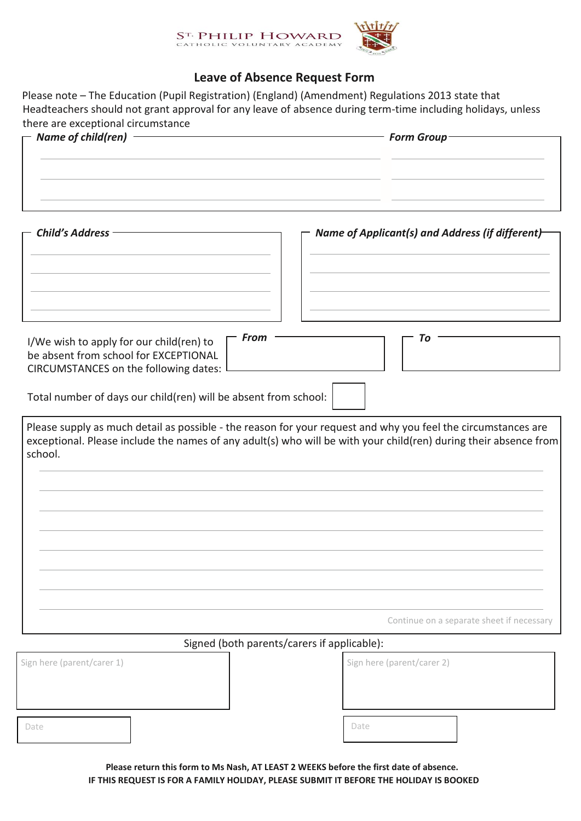

## **Leave of Absence Request Form**

Please note – The Education (Pupil Registration) (England) (Amendment) Regulations 2013 state that Headteachers should not grant approval for any leave of absence during term-time including holidays, unless there are exceptional circumstance

| $\Gamma$ Name of child(ren) $\Gamma$ | Form Group-                                              |  |  |
|--------------------------------------|----------------------------------------------------------|--|--|
|                                      |                                                          |  |  |
|                                      |                                                          |  |  |
|                                      |                                                          |  |  |
| $\Gamma$ Child's Address             | $\Gamma$ Name of Applicant(s) and Address (if different) |  |  |

| <b>From</b><br>To<br>I/We wish to apply for our child(ren) to<br>be absent from school for EXCEPTIONAL<br>CIRCUMSTANCES on the following dates:                                                                                              |
|----------------------------------------------------------------------------------------------------------------------------------------------------------------------------------------------------------------------------------------------|
| Total number of days our child(ren) will be absent from school:                                                                                                                                                                              |
| Please supply as much detail as possible - the reason for your request and why you feel the circumstances are<br>exceptional. Please include the names of any adult(s) who will be with your child(ren) during their absence from<br>school. |
|                                                                                                                                                                                                                                              |
|                                                                                                                                                                                                                                              |
|                                                                                                                                                                                                                                              |
|                                                                                                                                                                                                                                              |
| Continue on a separate sheet if necessary                                                                                                                                                                                                    |

## Signed (both parents/carers if applicable):

| Sign here (parent/carer 1) | Sign here (parent/carer 2) |  |
|----------------------------|----------------------------|--|
|                            |                            |  |
| Date                       | Date                       |  |

**Please return this form to Ms Nash, AT LEAST 2 WEEKS before the first date of absence. IF THIS REQUEST IS FOR A FAMILY HOLIDAY, PLEASE SUBMIT IT BEFORE THE HOLIDAY IS BOOKED**